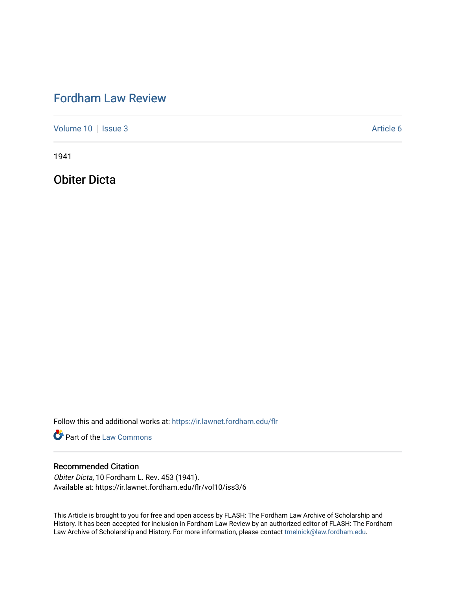# [Fordham Law Review](https://ir.lawnet.fordham.edu/flr)

[Volume 10](https://ir.lawnet.fordham.edu/flr/vol10) | [Issue 3](https://ir.lawnet.fordham.edu/flr/vol10/iss3) Article 6

1941

Obiter Dicta

Follow this and additional works at: [https://ir.lawnet.fordham.edu/flr](https://ir.lawnet.fordham.edu/flr?utm_source=ir.lawnet.fordham.edu%2Fflr%2Fvol10%2Fiss3%2F6&utm_medium=PDF&utm_campaign=PDFCoverPages)

**Part of the [Law Commons](http://network.bepress.com/hgg/discipline/578?utm_source=ir.lawnet.fordham.edu%2Fflr%2Fvol10%2Fiss3%2F6&utm_medium=PDF&utm_campaign=PDFCoverPages)** 

### Recommended Citation

Obiter Dicta, 10 Fordham L. Rev. 453 (1941). Available at: https://ir.lawnet.fordham.edu/flr/vol10/iss3/6

This Article is brought to you for free and open access by FLASH: The Fordham Law Archive of Scholarship and History. It has been accepted for inclusion in Fordham Law Review by an authorized editor of FLASH: The Fordham Law Archive of Scholarship and History. For more information, please contact [tmelnick@law.fordham.edu](mailto:tmelnick@law.fordham.edu).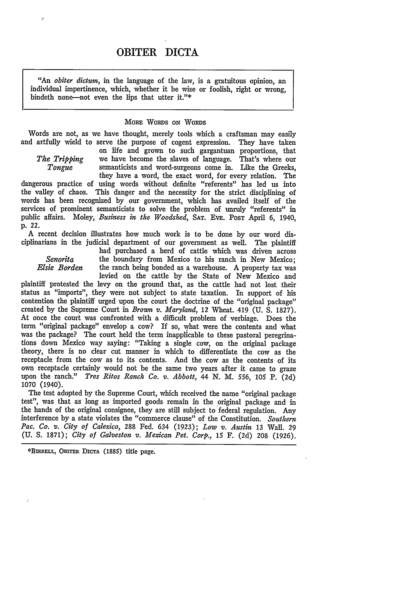## OBITER DICTA

*"An obiter dictumn,* in the language of the law, is a gratuitous opinion, an individual impertinence, which, whether it be wise or foolish, right or wrong, bindeth none-not even the lips that utter it."\*

### MORE WORDS **ON** WoRDs

Words are not, as we have thought, merely tools which a craftsman may easily and artfully wield to serve the purpose of cogent expression. They have taken

on life and grown to such gargantuan proportions, that *The Tripping* we have become the slaves of language. That's where our *Tongue* semanticists and word-surgeons come in. Like the Greeks. semanticists and word-surgeons come in. Like the Greeks,

they have a word, the exact word, for every relation. The dangerous practice of using words without definite "referents" has led us into the valley of chaos. This danger and the necessity for the strict disciplining of words has been recognized by our government, which has availed itself of the services of prominent semanticists to solve the problem of unruly "referents" in public affairs. Moley, *Business in the Woodshed,* SAT. EvE. **POST** April 6, 1940, p. 22.

A recent decision illustrates how much work is to be done by our word disciplinarians in the judicial department of our government as well. The plaintiff

had purchased a herd of cattle which was driven across *Senorita* the boundary from Mexico to his ranch in New Mexico;<br>*Elsie Borden* the ranch being bonded as a warehouse. A property tax was

levied on the cattle by the State of New Mexico and plaintiff protested the levy on the ground that, as the cattle had not lost their status as "imports", they were not subject to state taxation. In support of his contention the plaintiff urged upon the court the doctrine of the "original package" created **by** the Supreme Court in *Brown v. Maryland,* 12 Wheat. 419 **(U. S. 1827).** At once the court was confronted with a difficult problem of verbiage. Does the term "original package" envelop a cow? **If** so, what were the contents and what was the package? The court held the term inapplicable to these pastoral peregrinations down Mexico way saying: "Taking a single cow, on the original package theory, there is no clear cut manner in which to differentiate the cow as the receptacle from the cow as to its contents. And the cow as the contents of its own receptacle certainly would not be the same two years after it came to graze upon the ranch." *Tres Ritos Ranch Co. v. Abbott,* 44 **N.** *M.* 556, **105** P. (2d) 1070 (1940).

The test adopted by the Supreme Court, which received the name "original package test", was that as long as imported goods remain in the original package and in the hands of the original consignee, they are still subject to federal regulation. Any interference by a state violates the "commerce clause" of the Constitution. *Southern Pac. Ca. v. City of Calexico,* **288** Fed. 634 (1923); *Low v. Austin* **13** Wall. **29** (U. **S.** 1871); *City of Galveston v. Mexican Pet. Corp.,* 15 F. (2d) 208 (1926).

**\*BnRELL,** OBrrER **Dica (1885)** title page.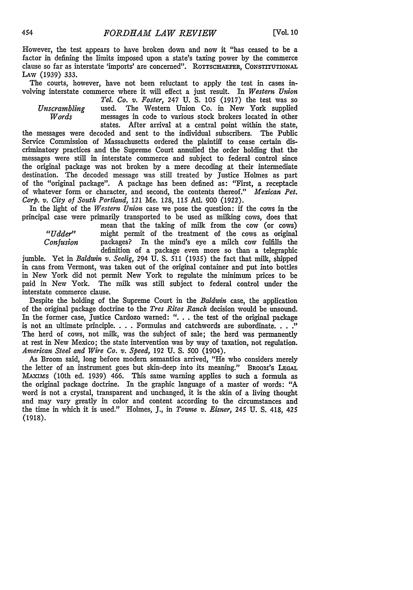However, the test appears to have broken down and now it "has ceased to be a factor in defining the limits imposed upon a state's taxing power by the commerce clause so far as interstate 'imports' are concerned". ROTTSCHAEFER, CONSTITUTIONAL **LAW** (1939) 333.

The courts, however, have not been reluctant to apply the test in cases involving interstate commerce where it will effect a just result. In *Western Union*

*Tel. Co. v. Foster,* 247 U. S. 105 (1917) the test was so *Unscrambling* used. The Western Union Co. in New York supplied *Words* messages in code to various stock brokers located in other states. After arrival at a central point within the state,

the messages were decoded and sent to the individual subscribers. The Public Service Commission of Massachusetts ordered the plaintiff to cease certain discriminatory practices and the Supreme Court annulled the order holding that the messages were still in interstate commerce and subject to federal control since the original package was not broken by a mere decoding at their intermediate destination. The decoded message was still treated by Justice Holmes as part of the "original package". A package has been defined as: "First, a receptacle of whatever form or character, and second, the contents thereof." *Mexican Pet. Corp. v. City of South Portland,* 121 Me. 128, 115 Ad. 900 (1922).

In the light of the *Western Union* case we pose the question: if the cows in the principal case were primarily transported to be used as milking cows, does that

mean that the taking of milk from the cow (or cows) *"Udder"* might permit of the treatment of the cows as original *Confusion* packages? In the mind's eye a milch cow fulfills the definition of a package even more so than a telegraphic

jumble. Yet in *Baldwin v. Seelig,* 294 U. **S.** 511 (1935) the fact that milk, shipped in cans from Vermont, was taken out of the original container and put into bottles in New York did not permit New York to regulate the minimum prices to be paid in New York. The milk was still subject to federal control under the interstate commerce clause.

Despite the holding of the Supreme Court in the *Baldwin* case, the application of the original package doctrine to the *Tres Ritos Ranch* decision would be unsound. In the former case, Justice Cardozo warned: ". **.** . the test of the original package is not an ultimate principle. . **.** . Formulas and catchwords are subordinate. **.. ."** The herd of cows, not milk, was the subject of sale; the herd was permanently at rest in New Mexico; the state intervention was by way of taxation, not regulation. *American Steel and Wire Co. v. Speed,* 192 **U. S.** 500 (1904).

As Broom said, long before modern semantics arrived, "He who considers merely the letter of an instrument goes but skin-deep into its meaning." BRooM's **LEGAL** MAxims (10th ed. 1939) 466. This same warning applies to such a formula as the original package doctrine. In the graphic language of a master of words: "A word is not a crystal, transparent and unchanged, it is the skin of a living thought and may vary greatly in color and content according to the circumstances and the time in which it is used." Holmes, J., in *Towne v. Eisner*, 245 U. S. 418, 425 (1918).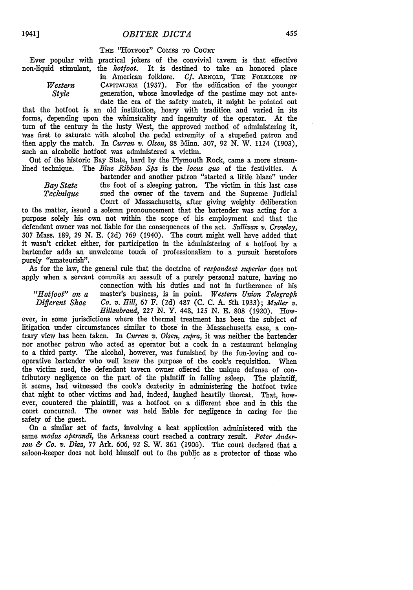**TsE** "HoTFOOT" **COMES** TO COURT

Ever popular with practical jokers of the convivial tavern is that effective non-liquid stimulant, the *hotfoot.* It is destined to take an honored place

in American folklore. *Cf.* **ARNOLD, THE FOLKLORE OF** *Western* **CAPITALISM** (1937). For the edification of the younger *Style* generation, whose knowledge of the pastime may not antegeneration, whose knowledge of the pastime may not antedate the era of the safety match, it might be pointed out

that the hotfoot is an old institution, hoary with tradition and varied in its forms, depending upon the whimsicality and ingenuity of the operator. At the turn of the century in the lusty West, the approved method of administering it, was first to saturate with alcohol the pedal extremity of a stupefied patron and then apply the match. In *Curran v. Olsen,* 88 Minn. 307, 92 N. W. 1124 (1903), such an alcoholic hotfoot was administered a victim.

Out of the historic Bay State, hard by the Plymouth Rock, came a more streamlined technique. The *Blue Ribbon Spa* is the *locus quo* of the festivities. A

bartender and another patron "started a little blaze" under *Bay State* the foot of a sleeping patron. The victim in this last case *Technique* sued the owner of the tavern and the Supreme Judicial sued the owner of the tavern and the Supreme Judicial Court of Massachusetts, after giving weighty deliberation

to the matter, issued a solemn pronouncement that the bartender was acting for a purpose solely his own not within the scope of his employment and that the defendant owner was not liable for the consequences of the act. *Sullivan v. Crowley,* **307** Mass. 189, 29 N. E. (2d) **769** (1940). The court might well have added that it wasn't cricket either, for participation in the administering of a hotfoot by a bartender adds an unwelcome touch of professionalism to a pursuit heretofore purely "amateurish".

As for the law, the general rule that the doctrine of *respondeat superior* does not apply when a servant commits an assault of a purely personal nature, having no

connection with his duties and not in furtherance of his *"Hotfoot" on a* master's business, is in point. *Western Union Telegraph Different Shoe Co. v. Hill,* 67 F. (2d) 487 (C. C. A. *5th* 1933); *Muller v. Hillenbrand,* **227** N. Y. 448, *125* N. E. 808 (1920). How-

ever, in some jurisdictions where the thermal treatment has been the subject of litigation under circumstances similar to those in the Massachusetts case, a contrary view has been taken. In *Curran v. Olsen, supra,* it was neither the bartender nor another patron who acted as operator but a cook in a restaurant belonging to a third party. The alcohol, however, was furnished by the fun-loving and cooperative bartender who well knew the purpose of the cook's requisition. When the victim sued, the defendant tavern owner offered the unique defense of contributory negligence on the part of the plaintiff in falling asleep. The plaintiff, it seems, had witnessed the cook's dexterity in administering the hotfoot twice that night to other victims and had, indeed, laughed heartily thereat. That, however, countered the plaintiff, was a hotfoot on a different shoe and in this the court concurred. The owner was held liable for negligence in caring for the safety of the guest.

On a similar set of facts, involving a heat application administered with the same *inodus operandi,* the Arkansas court reached a contrary result. *Peter Anderson & Co. v. Diaz,* 77 Ark. 606, 92 **S.** W. 861 (1906). The court declared that a saloon-keeper does not hold himself out to the public as a protector of those who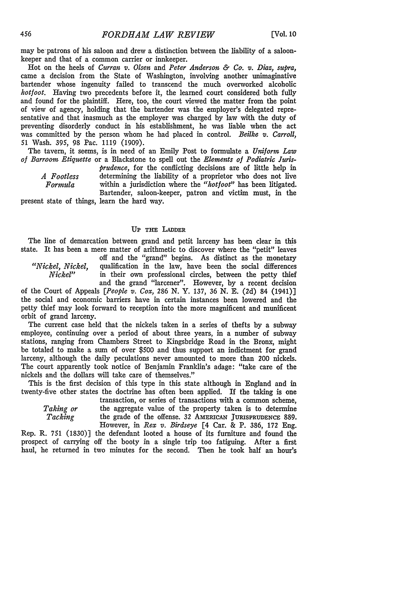may be patrons of his saloon and drew a distinction between the liability of a saloonkeeper and that of a common carrier or innkeeper.

Hot on the heels of *Curran v. Olsen* and *Peter Anderson & Ca. v. Diaz, supra,* came a decision from the State of Washington, involving another unimaginative bartender whose ingenuity failed to transcend the much overworked alcoholic *hotfoot.* Having two precedents before it, the learned court considered both fully and found for the plaintiff. Here, too, the court viewed the matter from the point of view of agency, holding that the bartender was the employer's delegated representative and that inasmuch as the employer was charged by law with the duty of preventing disorderly conduct in his establishment, he was liable when the act was committed by the person whom he had placed in control. *Beilke v. Carroll,* 51 Wash. 395, 98 Pac. 1119 (1909).

The tavern, it seems, is in need of an Emily Post to formulate a *Uniform Law of Barroom Etiquette* or a Blackstone to spell out the *Elements of Podiatric Juris-*

*prudence,* for the conflicting decisions are of little help in *A Footless* determining the liability of a proprietor who does not live *Formula* within a jurisdiction where the *"hotfoot"* has been litigated. Bartender, saloon-keeper, patron and victim must, in the

present state of things, learn the hard way.

#### **UP THE LADDER**

The line of demarcation between grand and petit larceny has been clear in this state. It has been a mere matter of arithmetic to discover where the "petit" leaves off and the "grand" begins. As distinct as the monetary

*"Nickel, Nickel,* qualification in the law, have been the social differences *Nickel"* in their own professional circles, between the petty thief and the grand "larcener". However, by a recent decision

of the Court of Appeals *[People v. Cox, 286* **N.** Y. 137, 36 N. E. (2d) 84 (1941)] the social and economic barriers have in certain instances been lowered and the petty thief may look forward to reception into the more magnificent and munificent orbit of grand larceny.

The current case held that the nickels taken in a series of thefts by a subway employee, continuing over a period of about three years, in a number of subway stations, ranging from Chambers Street to Kingsbridge Road in the Bronx, might be totaled to make a sum of over \$500 and thus support an indictment for grand larceny, although the daily peculations never amounted to more than 200 nickels. The court apparently took notice of Benjamin Franklin's adage: "take care of the nickels and the dollars will take care of themselves."

This is the first decision of this type in this state although in England and in twenty-five other states the doctrine has often been applied. If the taking is one

transaction, or series of transactions with a common scheme, *Taking or* the aggregate value of the property taken is to determine *Tacking* the grade of the offense. 32 AMERICAN **JURISPRUDENCE** 889. However, in *Rex v. Birdseye* [4 Car. & P. 386, 172 Eng.

Rep. R. 751 (1830)] the defendant looted a house of its furniture and found the prospect of carrying off the booty in a single trip too fatiguing. After a first haul, he returned in two minutes for the second. Then he took half an hour's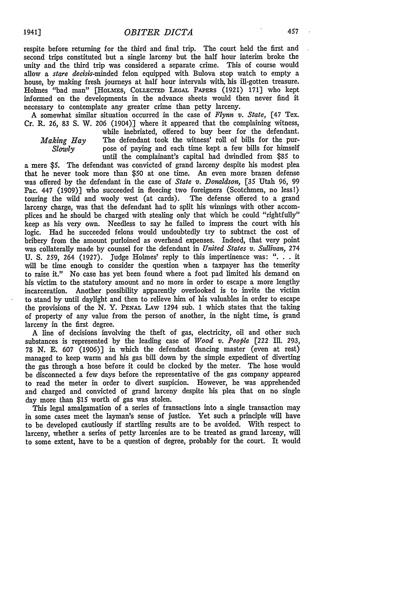respite before returning for the third and final trip. The court held the first and second trips constituted but a single larceny but the half hour interim broke the unity and the third trip was considered a separate crime. This of course would allow a stare decisis-minded felon equipped with Bulova stop watch to empty a house, by making fresh journeys at half hour intervals with his ill-gotten treasure. Holmes "bad man" [HoLms, COLLECTED **LEGAL** PAPERS (1921) 171] who kept informed on the developments in the advance sheets would then never find it necessary to contemplate any greater crime than petty larceny.

A somewhat similar situation occurred in the case of *Flynn v. State,* **[47** Tex. Cr. R. 26, 83 S. W. 206 (1904)] where it appeared that the complaining witness,

while inebriated, offered to buy beer for the defendant. *Making Hay* The defendant took the witness' roll of bills for the pur-<br>Slowly pose of paying and each time kept a few bills for himself pose of paying and each time kept a few bills for himself until the complainant's capital had dwindled from \$85 to

a mere **\$5.** The defendant was convicted of grand larceny despite his modest plea that he never took more than **\$50** at one time. An even more brazen defense was offered by the defendant in the case of *State v. Donaldson, [35* Utah 96, 99 Pac. 447 (1909)] who succeeded in fleecing two foreigners (Scotchmen, no less!) touring the wild and wooly west (at cards). The defense offered to a grand touring the wild and wooly west (at cards). larceny charge, was that the defendant had to split his winnings with other accomplices and he should be charged with stealing only that which he could "rightfully" keep as his very own. Needless to say he failed to impress the court with his logic. Had he succeeded felons would undoubtedly try to subtract the cost of bribery from the amount purloined as overhead expenses. Indeed, that very point was collaterally made by counsel for the defendant in *United States v. Sidlivan,* 274 U. S. 259, 264 (1927). Judge Holmes' reply to this impertinence was: ". **.** . it will be time enough to consider the question when a taxpayer has the temerity to raise it." No case has yet been found where a foot pad limited his demand on his victim to the statutory amount and no more in order to escape a more lengthy incarceration. Another possibility apparently overlooked is to invite the victim to stand by until daylight and then to relieve him of his valuables in order to escape the provisions of the N. Y. **PENAL** LAW 1294 sub. 1 which states that the taking of property of any value from the person of another, in the night time, is grand larceny in the first degree.

A line of decisions involving the theft of gas, electricity, oil and other such substances is represented by the leading case of *Wood v. People* [222 Ill. 293, 78 N. E. 607 (1906)] in which the defendant dancing master (even at rest) managed to keep warm and his gas bill down by the simple expedient of diverting the gas through a hose before it could be clocked by the meter. The hose would be disconnected a few days before the representative of the gas company appeared to read the meter in order to divert suspicion. However, he was apprehended and charged and convicted of grand larceny despite his plea that on no single day more than \$15 worth of gas was stolen.

This legal amalgamation of a series of transactions into a single transaction may in some cases meet the layman's sense of justice. Yet such a principle will have to be developed cautiously if startling results are to be avoided. With respect to larceny, whether a series of petty larcenies are to be treated as grand larceny, will to some extent, have to be a question of degree, probably for the court. It would